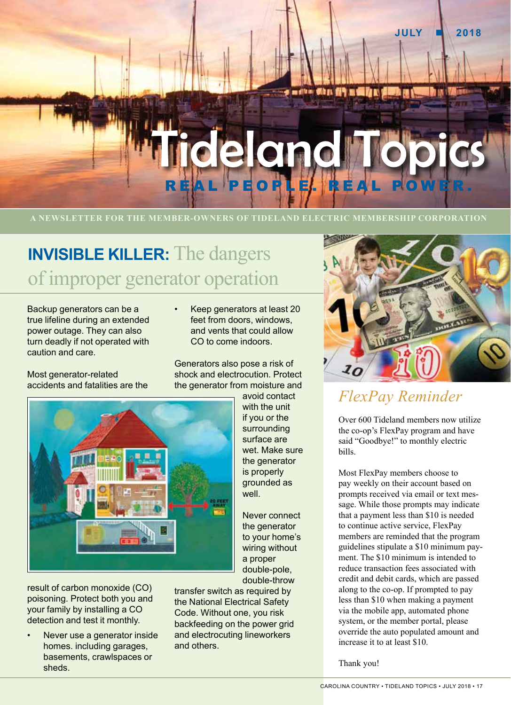

# **INVISIBLE KILLER:** The dangers of improper generator operation

Backup generators can be a true lifeline during an extended power outage. They can also turn deadly if not operated with caution and care.

• Keep generators at least 20 feet from doors, windows, and vents that could allow CO to come indoors.

Generators also pose a risk of

Most generator-related accidents and fatalities are the



the generator from moisture and avoid contact with the unit if you or the surrounding surface are wet. Make sure the generator is properly grounded as well.

> Never connect the generator to your home's wiring without a proper double-pole, double-throw

result of carbon monoxide (CO) poisoning. Protect both you and your family by installing a CO detection and test it monthly.

Never use a generator inside homes. including garages, basements, crawlspaces or sheds.

transfer switch as required by the National Electrical Safety Code. Without one, you risk backfeeding on the power grid and electrocuting lineworkers and others.



# *FlexPay Reminder*

Over 600 Tideland members now utilize the co-op's FlexPay program and have said "Goodbye!" to monthly electric bills.

Most FlexPay members choose to pay weekly on their account based on prompts received via email or text message. While those prompts may indicate that a payment less than \$10 is needed to continue active service, FlexPay members are reminded that the program guidelines stipulate a \$10 minimum payment. The \$10 minimum is intended to reduce transaction fees associated with credit and debit cards, which are passed along to the co-op. If prompted to pay less than \$10 when making a payment via the mobile app, automated phone system, or the member portal, please override the auto populated amount and increase it to at least \$10.

Thank you!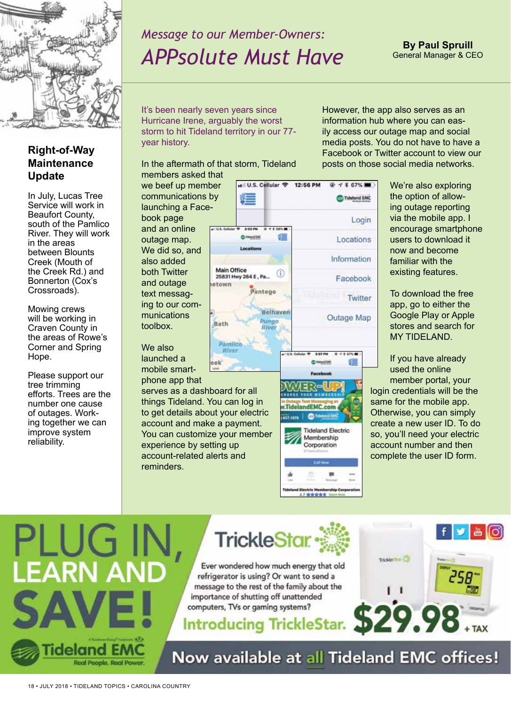

**Right-of-Way Maintenance** 

**Update**

# *Message to our Member-Owners: APPsolute Must Have*

#### It's been nearly seven years since Hurricane Irene, arguably the worst storm to hit Tideland territory in our 77 year history.

In the aftermath of that storm, Tideland members asked that

However, the app also serves as an information hub where you can easily access our outage map and social media posts. You do not have to have a Facebook or Twitter account to view our posts on those social media networks.

In July, Lucas Tree Service will work in Beaufort County, south of the Pamlico River. They will work in the areas between Blounts Creek (Mouth of the Creek Rd.) and Bonnerton (Cox's Crossroads).

Mowing crews will be working in Craven County in the areas of Rowe's Corner and Spring Hope.

Please support our tree trimming efforts. Trees are the number one cause of outages. Working together we can improve system reliability.

we beef up member communications by launching a Facebook page and an online outage map. We did so, and also added both Twitter and outage text messag-

ing to our communications toolbox.

We also launched a mobile smart-

phone app that

serves as a dashboard for all things Tideland. You can log in to get details about your electric account and make a payment. You can customize your member experience by setting up account-related alerts and reminders.





We're also exploring the option of allowing outage reporting via the mobile app. I encourage smartphone users to download it now and become familiar with the existing features.

To download the free app, go to either the Google Play or Apple stores and search for MY TIDELAND.

If you have already used the online member portal, your login credentials will be the same for the mobile app. Otherwise, you can simply create a new user ID. To do so, you'll need your electric account number and then complete the user ID form.





Ever wondered how much energy that old refrigerator is using? Or want to send a message to the rest of the family about the importance of shutting off unattended computers, TVs or gaming systems?

**Introducing TrickleStar.** 

у |க [ெ  $29.98...$ 

Now available at all Tideland EMC offices!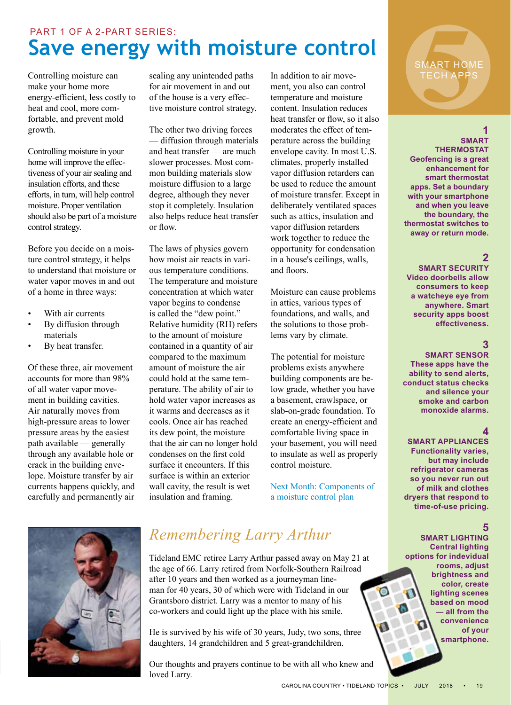## **Save energy with moisture control** PART 1 OF A 2-PART SERIES:

Controlling moisture can make your home more energy-efficient, less costly to heat and cool, more comfortable, and prevent mold growth.

Controlling moisture in your home will improve the effectiveness of your air sealing and insulation efforts, and these efforts, in turn, will help control moisture. Proper ventilation should also be part of a moisture control strategy.

Before you decide on a moisture control strategy, it helps to understand that moisture or water vapor moves in and out of a home in three ways:

- With air currents
- By diffusion through materials
- By heat transfer.

Of these three, air movement accounts for more than 98% of all water vapor movement in building cavities. Air naturally moves from high-pressure areas to lower pressure areas by the easiest path available — generally through any available hole or crack in the building envelope. Moisture transfer by air currents happens quickly, and carefully and permanently air

sealing any unintended paths for air movement in and out of the house is a very effective moisture control strategy.

The other two driving forces — diffusion through materials and heat transfer — are much slower processes. Most common building materials slow moisture diffusion to a large degree, although they never stop it completely. Insulation also helps reduce heat transfer or flow.

The laws of physics govern how moist air reacts in various temperature conditions. The temperature and moisture concentration at which water vapor begins to condense is called the "dew point." Relative humidity (RH) refers to the amount of moisture contained in a quantity of air compared to the maximum amount of moisture the air could hold at the same temperature. The ability of air to hold water vapor increases as it warms and decreases as it cools. Once air has reached its dew point, the moisture that the air can no longer hold condenses on the first cold surface it encounters. If this surface is within an exterior wall cavity, the result is wet insulation and framing.

In addition to air movement, you also can control temperature and moisture content. Insulation reduces heat transfer or flow, so it also moderates the effect of temperature across the building envelope cavity. In most U.S. climates, properly installed vapor diffusion retarders can be used to reduce the amount of moisture transfer. Except in deliberately ventilated spaces such as attics, insulation and vapor diffusion retarders work together to reduce the opportunity for condensation in a house's ceilings, walls, and floors.

Moisture can cause problems in attics, various types of foundations, and walls, and the solutions to those problems vary by climate.

The potential for moisture problems exists anywhere building components are below grade, whether you have a basement, crawlspace, or slab-on-grade foundation. To create an energy-efficient and comfortable living space in your basement, you will need to insulate as well as properly control moisture.

Next Month: Components of a moisture control plan



## *Remembering Larry Arthur*

Tideland EMC retiree Larry Arthur passed away on May 21 at the age of 66. Larry retired from Norfolk-Southern Railroad after 10 years and then worked as a journeyman lineman for 40 years, 30 of which were with Tideland in our Grantsboro district. Larry was a mentor to many of his co-workers and could light up the place with his smile.

He is survived by his wife of 30 years, Judy, two sons, three daughters, 14 grandchildren and 5 great-grandchildren.

Our thoughts and prayers continue to be with all who knew and loved Larry.

# MART HONTECH APP SMART HOME TECH APPS

#### **1**

**SMART THERMOSTAT Geofencing is a great enhancement for smart thermostat apps. Set a boundary with your smartphone and when you leave the boundary, the thermostat switches to away or return mode.**

## **2**

**SMART SECURITY Video doorbells allow consumers to keep a watcheye eye from anywhere. Smart security apps boost effectiveness.**

#### **3**

**SMART SENSOR These apps have the ability to send alerts, conduct status checks and silence your smoke and carbon monoxide alarms.**

#### **4**

**SMART APPLIANCES Functionality varies, but may include refrigerator cameras so you never run out of milk and clothes dryers that respond to time-of-use pricing.**

## **5**

**SMART LIGHTING Central lighting options for indevidual rooms, adjust brightness and color, create lighting scenes based on mood — all from the convenience of your smartphone.**